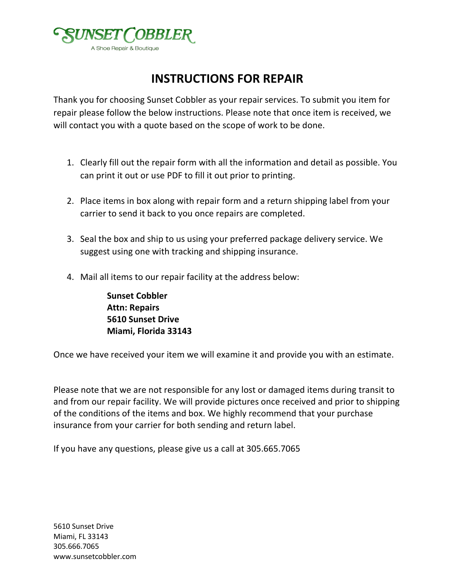

## **INSTRUCTIONS FOR REPAIR**

Thank you for choosing Sunset Cobbler as your repair services. To submit you item for repair please follow the below instructions. Please note that once item is received, we will contact you with a quote based on the scope of work to be done.

- 1. Clearly fill out the repair form with all the information and detail as possible. You can print it out or use PDF to fill it out prior to printing.
- 2. Place items in box along with repair form and a return shipping label from your carrier to send it back to you once repairs are completed.
- 3. Seal the box and ship to us using your preferred package delivery service. We suggest using one with tracking and shipping insurance.
- 4. Mail all items to our repair facility at the address below:

**Sunset Cobbler Attn: Repairs 5610 Sunset Drive Miami, Florida 33143**

Once we have received your item we will examine it and provide you with an estimate.

Please note that we are not responsible for any lost or damaged items during transit to and from our repair facility. We will provide pictures once received and prior to shipping of the conditions of the items and box. We highly recommend that your purchase insurance from your carrier for both sending and return label.

If you have any questions, please give us a call at 305.665.7065

5610 Sunset Drive Miami, FL 33143 305.666.7065 www.sunsetcobbler.com